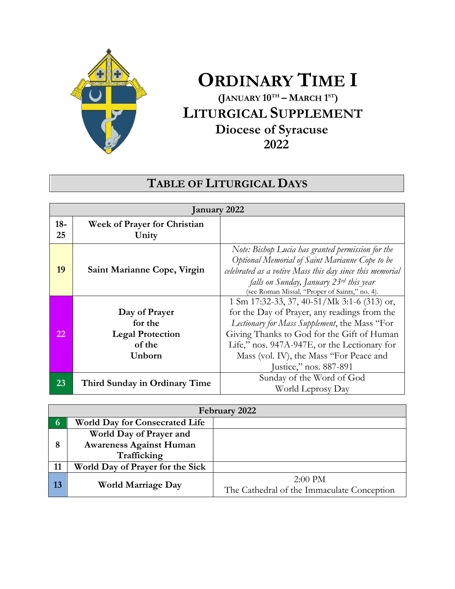

# **ORDINARY TIME I (JANUARY 10 TH – MARCH 1 ST) LITURGICAL SUPPLEMENT Diocese of Syracuse 2022**

# **TABLE OF LITURGICAL DAYS**

| January 2022 |                                                                         |                                                                                                                                                                                                                                                                                                                 |
|--------------|-------------------------------------------------------------------------|-----------------------------------------------------------------------------------------------------------------------------------------------------------------------------------------------------------------------------------------------------------------------------------------------------------------|
| $18 -$<br>25 | <b>Week of Prayer for Christian</b><br>Unity                            |                                                                                                                                                                                                                                                                                                                 |
| 19           | Saint Marianne Cope, Virgin                                             | Note: Bishop Lucia has granted permission for the<br>Optional Memorial of Saint Marianne Cope to be<br>celebrated as a votive Mass this day since this memorial<br>falls on Sunday, January 23rd this year<br>(see Roman Missal, "Proper of Saints," no. 4).                                                    |
| 22           | Day of Prayer<br>for the<br><b>Legal Protection</b><br>of the<br>Unborn | 1 Sm 17:32-33, 37, 40-51/Mk 3:1-6 (313) or,<br>for the Day of Prayer, any readings from the<br>Lectionary for Mass Supplement, the Mass "For<br>Giving Thanks to God for the Gift of Human<br>Life," nos. 947A-947E, or the Lectionary for<br>Mass (vol. IV), the Mass "For Peace and<br>Justice," nos. 887-891 |
| 23           | Third Sunday in Ordinary Time                                           | Sunday of the Word of God<br>World Leprosy Day                                                                                                                                                                                                                                                                  |

| February 2022  |                                                                          |                                                         |
|----------------|--------------------------------------------------------------------------|---------------------------------------------------------|
| $\overline{6}$ | <b>World Day for Consecrated Life</b>                                    |                                                         |
| 8              | World Day of Prayer and<br><b>Awareness Against Human</b><br>Trafficking |                                                         |
| 11             | World Day of Prayer for the Sick                                         |                                                         |
| 13             | <b>World Marriage Day</b>                                                | $2:00$ PM<br>The Cathedral of the Immaculate Conception |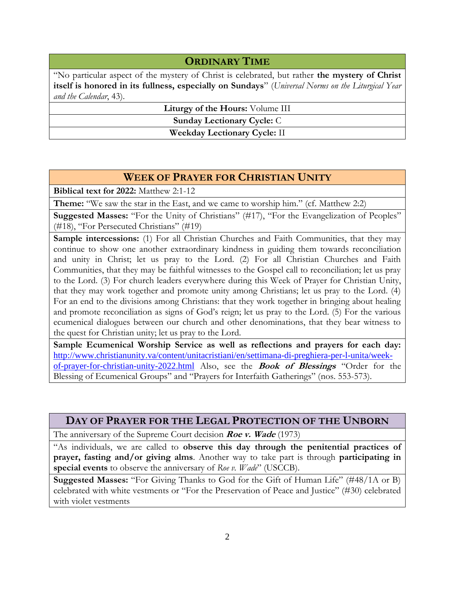## **ORDINARY TIME**

"No particular aspect of the mystery of Christ is celebrated, but rather **the mystery of Christ itself is honored in its fullness, especially on Sundays**" (*Universal Norms on the Liturgical Year and the Calendar*, 43).

**Liturgy of the Hours:** Volume III

**Sunday Lectionary Cycle:** C

**Weekday Lectionary Cycle:** II

# **WEEK OF PRAYER FOR CHRISTIAN UNITY**

**Biblical text for 2022:** Matthew 2:1-12

**Theme:** "We saw the star in the East, and we came to worship him." (cf. Matthew 2:2)

**Suggested Masses:** "For the Unity of Christians" (#17), "For the Evangelization of Peoples" (#18), "For Persecuted Christians" (#19)

**Sample intercessions:** (1) For all Christian Churches and Faith Communities, that they may continue to show one another extraordinary kindness in guiding them towards reconciliation and unity in Christ; let us pray to the Lord. (2) For all Christian Churches and Faith Communities, that they may be faithful witnesses to the Gospel call to reconciliation; let us pray to the Lord. (3) For church leaders everywhere during this Week of Prayer for Christian Unity, that they may work together and promote unity among Christians; let us pray to the Lord. (4) For an end to the divisions among Christians: that they work together in bringing about healing and promote reconciliation as signs of God's reign; let us pray to the Lord. (5) For the various ecumenical dialogues between our church and other denominations, that they bear witness to the quest for Christian unity; let us pray to the Lord.

**Sample Ecumenical Worship Service as well as reflections and prayers for each day:**  [http://www.christianunity.va/content/unitacristiani/en/settimana-di-preghiera-per-l-unita/week](http://www.christianunity.va/content/unitacristiani/en/settimana-di-preghiera-per-l-unita/week-of-prayer-for-christian-unity-2022.html)[of-prayer-for-christian-unity-2022.html](http://www.christianunity.va/content/unitacristiani/en/settimana-di-preghiera-per-l-unita/week-of-prayer-for-christian-unity-2022.html) Also, see the **Book of Blessings** "Order for the Blessing of Ecumenical Groups" and "Prayers for Interfaith Gatherings" (nos. 553-573).

### **DAY OF PRAYER FOR THE LEGAL PROTECTION OF THE UNBORN**

The anniversary of the Supreme Court decision **Roe v. Wade** (1973)

"As individuals, we are called to **observe this day through the penitential practices of prayer, fasting and/or giving alms**. Another way to take part is through **participating in special events** to observe the anniversary of *Roe v. Wade*" (USCCB).

**Suggested Masses:** "For Giving Thanks to God for the Gift of Human Life" (#48/1A or B) celebrated with white vestments or "For the Preservation of Peace and Justice" (#30) celebrated with violet vestments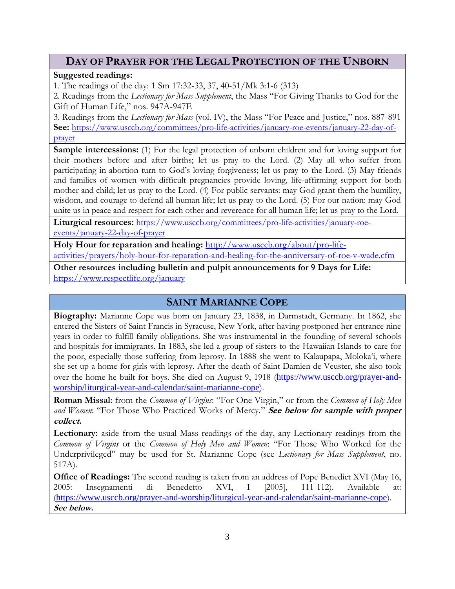## **DAY OF PRAYER FOR THE LEGAL PROTECTION OF THE UNBORN**

#### **Suggested readings:**

1. The readings of the day: 1 Sm 17:32-33, 37, 40-51/Mk 3:1-6 (313)

2. Readings from the *Lectionary for Mass Supplement*, the Mass "For Giving Thanks to God for the Gift of Human Life," nos. 947A-947E

3. Readings from the *Lectionary for Mass* (vol. IV), the Mass "For Peace and Justice," nos. 887-891 **See:** [https://www.usccb.org/committees/pro-life-activities/january-roe-events/january-22-day-of](https://www.usccb.org/committees/pro-life-activities/january-roe-events/january-22-day-of-prayer)[prayer](https://www.usccb.org/committees/pro-life-activities/january-roe-events/january-22-day-of-prayer)

**Sample intercessions:** (1) For the legal protection of unborn children and for loving support for their mothers before and after births; let us pray to the Lord. (2) May all who suffer from participating in abortion turn to God's loving forgiveness; let us pray to the Lord. (3) May friends and families of women with difficult pregnancies provide loving, life-affirming support for both mother and child; let us pray to the Lord. (4) For public servants: may God grant them the humility, wisdom, and courage to defend all human life; let us pray to the Lord. (5) For our nation: may God unite us in peace and respect for each other and reverence for all human life; let us pray to the Lord.

Liturgical resources: [https://www.usccb.org/committees/pro-life-activities/january-roe](https://www.usccb.org/committees/pro-life-activities/january-roe-events/january-22-day-of-prayer)[events/january-22-day-of-prayer](https://www.usccb.org/committees/pro-life-activities/january-roe-events/january-22-day-of-prayer)

**Holy Hour for reparation and healing:** [http://www.usccb.org/about/pro-life](http://www.usccb.org/about/pro-life-activities/prayers/holy-hour-for-reparation-and-healing-for-the-anniversary-of-roe-v-wade.cfm)[activities/prayers/holy-hour-for-reparation-and-healing-for-the-anniversary-of-roe-v-wade.cfm](http://www.usccb.org/about/pro-life-activities/prayers/holy-hour-for-reparation-and-healing-for-the-anniversary-of-roe-v-wade.cfm)

**Other resources including bulletin and pulpit announcements for 9 Days for Life:**  <https://www.respectlife.org/january>

## **SAINT MARIANNE COPE**

**Biography:** Marianne Cope was born on January 23, 1838, in Darmstadt, Germany. In 1862, she entered the Sisters of Saint Francis in Syracuse, New York, after having postponed her entrance nine years in order to fulfill family obligations. She was instrumental in the founding of several schools and hospitals for immigrants. In 1883, she led a group of sisters to the Hawaiian Islands to care for the poor, especially those suffering from leprosy. In 1888 she went to Kalaupapa, Moloka'i, where she set up a home for girls with leprosy. After the death of Saint Damien de Veuster, she also took over the home he built for boys. She died on August 9, 1918 ([https://www.usccb.org/prayer-and](https://www.usccb.org/prayer-and-worship/liturgical-year-and-calendar/saint-marianne-cope)[worship/liturgical-year-and-calendar/saint-marianne-cope](https://www.usccb.org/prayer-and-worship/liturgical-year-and-calendar/saint-marianne-cope)).

**Roman Missal**: from the *Common of Virgins*: "For One Virgin," or from the *Common of Holy Men and Women*: "For Those Who Practiced Works of Mercy." **See below for sample with proper collect.** 

**Lectionary:** aside from the usual Mass readings of the day, any Lectionary readings from the *Common of Virgins* or the *Common of Holy Men and Women*: "For Those Who Worked for the Underprivileged" may be used for St. Marianne Cope (see *Lectionary for Mass Supplement*, no. 517A).

**Office of Readings:** The second reading is taken from an address of Pope Benedict XVI (May 16, 2005: Insegnamenti di Benedetto XVI, I [2005], 111-112). Available at: (<https://www.usccb.org/prayer-and-worship/liturgical-year-and-calendar/saint-marianne-cope>). **See below.**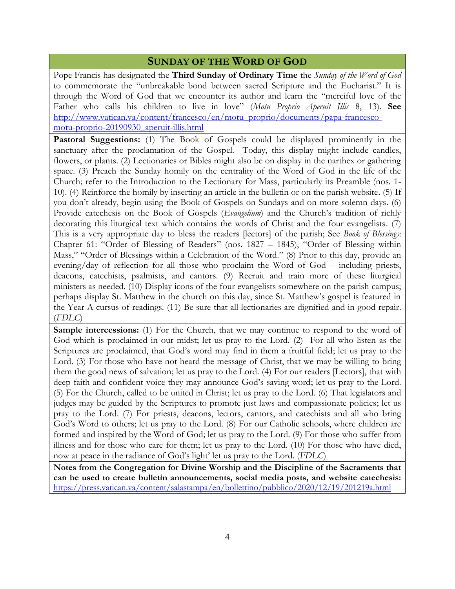### **SUNDAY OF THE WORD OF GOD**

Pope Francis has designated the **Third Sunday of Ordinary Time** the *Sunday of the Word of God* to commemorate the "unbreakable bond between sacred Scripture and the Eucharist." It is through the Word of God that we encounter its author and learn the "merciful love of the Father who calls his children to live in love" (*Motu Proprio Aperuit Illis* 8, 13). **See**  [http://www.vatican.va/content/francesco/en/motu\\_proprio/documents/papa-francesco](http://www.vatican.va/content/francesco/en/motu_proprio/documents/papa-francesco-motu-proprio-20190930_aperuit-illis.html)[motu-proprio-20190930\\_aperuit-illis.html](http://www.vatican.va/content/francesco/en/motu_proprio/documents/papa-francesco-motu-proprio-20190930_aperuit-illis.html)

**Pastoral Suggestions:** (1) The Book of Gospels could be displayed prominently in the sanctuary after the proclamation of the Gospel. Today, this display might include candles, flowers, or plants. (2) Lectionaries or Bibles might also be on display in the narthex or gathering space. (3) Preach the Sunday homily on the centrality of the Word of God in the life of the Church; refer to the Introduction to the Lectionary for Mass, particularly its Preamble (nos. 1- 10). (4) Reinforce the homily by inserting an article in the bulletin or on the parish website. (5) If you don't already, begin using the Book of Gospels on Sundays and on more solemn days. (6) Provide catechesis on the Book of Gospels (*Evangelium*) and the Church's tradition of richly decorating this liturgical text which contains the words of Christ and the four evangelists. (7) This is a very appropriate day to bless the readers [lectors] of the parish; See *Book of Blessings*: Chapter 61: "Order of Blessing of Readers" (nos. 1827 – 1845), "Order of Blessing within Mass," "Order of Blessings within a Celebration of the Word." (8) Prior to this day, provide an evening/day of reflection for all those who proclaim the Word of God – including priests, deacons, catechists, psalmists, and cantors. (9) Recruit and train more of these liturgical ministers as needed. (10) Display icons of the four evangelists somewhere on the parish campus; perhaps display St. Matthew in the church on this day, since St. Matthew's gospel is featured in the Year A cursus of readings. (11) Be sure that all lectionaries are dignified and in good repair. (*FDLC*)

**Sample intercessions:** (1) For the Church, that we may continue to respond to the word of God which is proclaimed in our midst; let us pray to the Lord. (2) For all who listen as the Scriptures are proclaimed, that God's word may find in them a fruitful field; let us pray to the Lord. (3) For those who have not heard the message of Christ, that we may be willing to bring them the good news of salvation; let us pray to the Lord. (4) For our readers [Lectors], that with deep faith and confident voice they may announce God's saving word; let us pray to the Lord. (5) For the Church, called to be united in Christ; let us pray to the Lord. (6) That legislators and judges may be guided by the Scriptures to promote just laws and compassionate policies; let us pray to the Lord. (7) For priests, deacons, lectors, cantors, and catechists and all who bring God's Word to others; let us pray to the Lord. (8) For our Catholic schools, where children are formed and inspired by the Word of God; let us pray to the Lord. (9) For those who suffer from illness and for those who care for them; let us pray to the Lord. (10) For those who have died, now at peace in the radiance of God's light' let us pray to the Lord. (*FDLC*)

**Notes from the Congregation for Divine Worship and the Discipline of the Sacraments that can be used to create bulletin announcements, social media posts, and website catechesis:**  <https://press.vatican.va/content/salastampa/en/bollettino/pubblico/2020/12/19/201219a.html>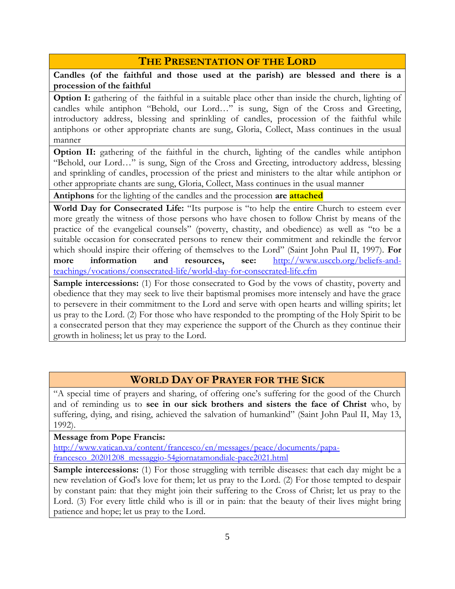# **THE PRESENTATION OF THE LORD**

**Candles (of the faithful and those used at the parish) are blessed and there is a procession of the faithful**

**Option I:** gathering of the faithful in a suitable place other than inside the church, lighting of candles while antiphon "Behold, our Lord…" is sung, Sign of the Cross and Greeting, introductory address, blessing and sprinkling of candles, procession of the faithful while antiphons or other appropriate chants are sung, Gloria, Collect, Mass continues in the usual manner

**Option II:** gathering of the faithful in the church, lighting of the candles while antiphon "Behold, our Lord…" is sung, Sign of the Cross and Greeting, introductory address, blessing and sprinkling of candles, procession of the priest and ministers to the altar while antiphon or other appropriate chants are sung, Gloria, Collect, Mass continues in the usual manner

**Antiphons** for the lighting of the candles and the procession **are attached**

**World Day for Consecrated Life:** "Its purpose is "to help the entire Church to esteem ever more greatly the witness of those persons who have chosen to follow Christ by means of the practice of the evangelical counsels" (poverty, chastity, and obedience) as well as "to be a suitable occasion for consecrated persons to renew their commitment and rekindle the fervor which should inspire their offering of themselves to the Lord" (Saint John Paul II, 1997). **For more information and resources, see:** [http://www.usccb.org/beliefs-and](http://www.usccb.org/beliefs-and-teachings/vocations/consecrated-life/world-day-for-consecrated-life.cfm)[teachings/vocations/consecrated-life/world-day-for-consecrated-life.cfm](http://www.usccb.org/beliefs-and-teachings/vocations/consecrated-life/world-day-for-consecrated-life.cfm)

**Sample intercessions:** (1) For those consecrated to God by the vows of chastity, poverty and obedience that they may seek to live their baptismal promises more intensely and have the grace to persevere in their commitment to the Lord and serve with open hearts and willing spirits; let us pray to the Lord. (2) For those who have responded to the prompting of the Holy Spirit to be a consecrated person that they may experience the support of the Church as they continue their growth in holiness; let us pray to the Lord.

# **WORLD DAY OF PRAYER FOR THE SICK**

"A special time of prayers and sharing, of offering one's suffering for the good of the Church and of reminding us to **see in our sick brothers and sisters the face of Christ** who, by suffering, dying, and rising, achieved the salvation of humankind" (Saint John Paul II, May 13, 1992).

#### **Message from Pope Francis:**

[http://www.vatican.va/content/francesco/en/messages/peace/documents/papa](http://www.vatican.va/content/francesco/en/messages/peace/documents/papa-francesco_20201208_messaggio-54giornatamondiale-pace2021.html)[francesco\\_20201208\\_messaggio-54giornatamondiale-pace2021.html](http://www.vatican.va/content/francesco/en/messages/peace/documents/papa-francesco_20201208_messaggio-54giornatamondiale-pace2021.html)

**Sample intercessions:** (1) For those struggling with terrible diseases: that each day might be a new revelation of God's love for them; let us pray to the Lord. (2) For those tempted to despair by constant pain: that they might join their suffering to the Cross of Christ; let us pray to the Lord. (3) For every little child who is ill or in pain: that the beauty of their lives might bring patience and hope; let us pray to the Lord.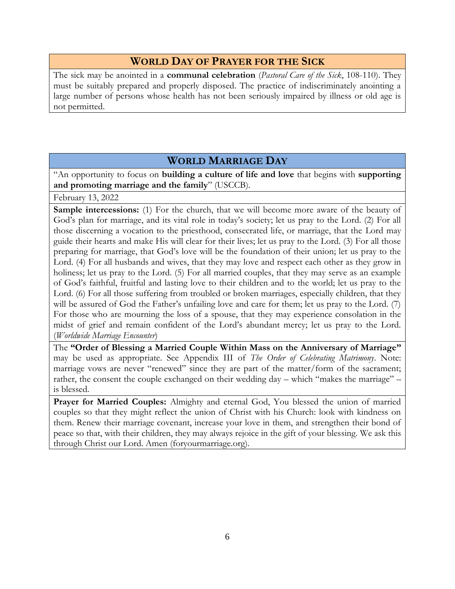## **WORLD DAY OF PRAYER FOR THE SICK**

The sick may be anointed in a **communal celebration** (*Pastoral Care of the Sick*, 108-110). They must be suitably prepared and properly disposed. The practice of indiscriminately anointing a large number of persons whose health has not been seriously impaired by illness or old age is not permitted.

# **WORLD MARRIAGE DAY**

"An opportunity to focus on **building a culture of life and love** that begins with **supporting and promoting marriage and the family**" (USCCB).

February 13, 2022

**Sample intercessions:** (1) For the church, that we will become more aware of the beauty of God's plan for marriage, and its vital role in today's society; let us pray to the Lord. (2) For all those discerning a vocation to the priesthood, consecrated life, or marriage, that the Lord may guide their hearts and make His will clear for their lives; let us pray to the Lord. (3) For all those preparing for marriage, that God's love will be the foundation of their union; let us pray to the Lord. (4) For all husbands and wives, that they may love and respect each other as they grow in holiness; let us pray to the Lord. (5) For all married couples, that they may serve as an example of God's faithful, fruitful and lasting love to their children and to the world; let us pray to the Lord. (6) For all those suffering from troubled or broken marriages, especially children, that they will be assured of God the Father's unfailing love and care for them; let us pray to the Lord. (7) For those who are mourning the loss of a spouse, that they may experience consolation in the midst of grief and remain confident of the Lord's abundant mercy; let us pray to the Lord. (*Worldwide Marriage Encounter*)

The **"Order of Blessing a Married Couple Within Mass on the Anniversary of Marriage"** may be used as appropriate. See Appendix III of *The Order of Celebrating Matrimony*. Note: marriage vows are never "renewed" since they are part of the matter/form of the sacrament; rather, the consent the couple exchanged on their wedding day – which "makes the marriage" – is blessed.

**Prayer for Married Couples:** Almighty and eternal God, You blessed the union of married couples so that they might reflect the union of Christ with his Church: look with kindness on them. Renew their marriage covenant, increase your love in them, and strengthen their bond of peace so that, with their children, they may always rejoice in the gift of your blessing. We ask this through Christ our Lord. Amen (foryourmarriage.org).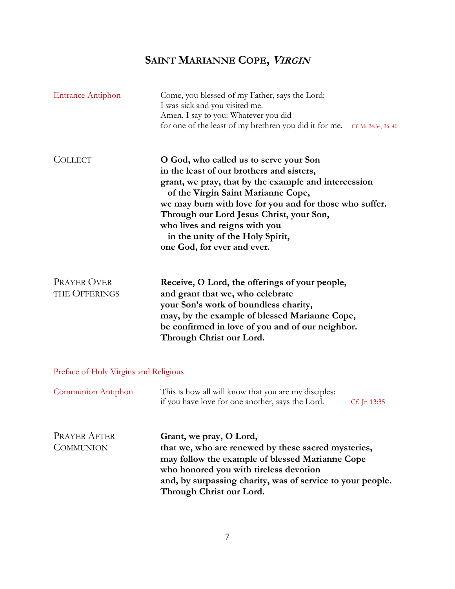# **SAINT MARIANNE COPE, <sup>V</sup>IRGIN**

| <b>Entrance Antiphon</b>                | Come, you blessed of my Father, says the Lord:<br>I was sick and you visited me.<br>Amen, I say to you: Whatever you did<br>for one of the least of my brethren you did it for me. Cf. Mt 24:34, 36, 40                                                                                                                                                                                      |
|-----------------------------------------|----------------------------------------------------------------------------------------------------------------------------------------------------------------------------------------------------------------------------------------------------------------------------------------------------------------------------------------------------------------------------------------------|
| <b>COLLECT</b>                          | O God, who called us to serve your Son<br>in the least of our brothers and sisters,<br>grant, we pray, that by the example and intercession<br>of the Virgin Saint Marianne Cope,<br>we may burn with love for you and for those who suffer.<br>Through our Lord Jesus Christ, your Son,<br>who lives and reigns with you<br>in the unity of the Holy Spirit,<br>one God, for ever and ever. |
| <b>PRAYER OVER</b><br>THE OFFERINGS     | Receive, O Lord, the offerings of your people,<br>and grant that we, who celebrate<br>your Son's work of boundless charity,<br>may, by the example of blessed Marianne Cope,<br>be confirmed in love of you and of our neighbor.<br>Through Christ our Lord.                                                                                                                                 |
| Preface of Holy Virgins and Religious   |                                                                                                                                                                                                                                                                                                                                                                                              |
| Communion Antiphon                      | This is how all will know that you are my disciples:<br>if you have love for one another, says the Lord.<br>Cf. Jn 13:35                                                                                                                                                                                                                                                                     |
| <b>PRAYER AFTER</b><br><b>COMMUNION</b> | Grant, we pray, O Lord,<br>that we, who are renewed by these sacred mysteries,<br>may follow the example of blessed Marianne Cope<br>who honored you with tireless devotion<br>and, by surpassing charity, was of service to your people.<br>Through Christ our Lord.                                                                                                                        |
|                                         |                                                                                                                                                                                                                                                                                                                                                                                              |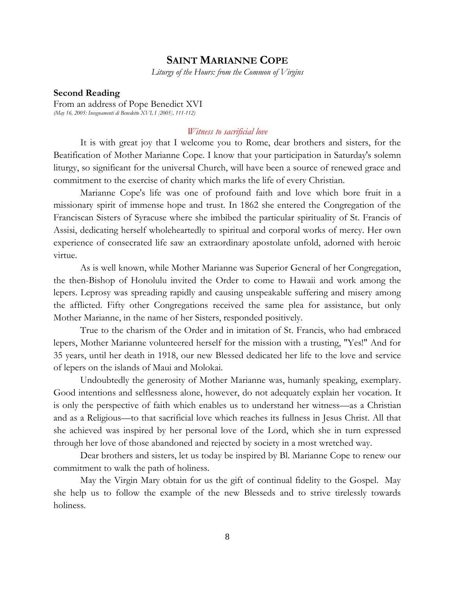#### **SAINT MARIANNE COPE**

*Liturgy of the Hours: from the Common of Virgins*

#### **Second Reading**

From an address of Pope Benedict XVI *(May 16, 2005: Insegnamenti di Benedetto XVI, I [2005], 111-112)*

#### *Witness to sacrificial love*

It is with great joy that I welcome you to Rome, dear brothers and sisters, for the Beatification of Mother Marianne Cope. I know that your participation in Saturday's solemn liturgy, so significant for the universal Church, will have been a source of renewed grace and commitment to the exercise of charity which marks the life of every Christian.

Marianne Cope's life was one of profound faith and love which bore fruit in a missionary spirit of immense hope and trust. In 1862 she entered the Congregation of the Franciscan Sisters of Syracuse where she imbibed the particular spirituality of St. Francis of Assisi, dedicating herself wholeheartedly to spiritual and corporal works of mercy. Her own experience of consecrated life saw an extraordinary apostolate unfold, adorned with heroic virtue.

As is well known, while Mother Marianne was Superior General of her Congregation, the then-Bishop of Honolulu invited the Order to come to Hawaii and work among the lepers. Leprosy was spreading rapidly and causing unspeakable suffering and misery among the afflicted. Fifty other Congregations received the same plea for assistance, but only Mother Marianne, in the name of her Sisters, responded positively.

True to the charism of the Order and in imitation of St. Francis, who had embraced lepers, Mother Marianne volunteered herself for the mission with a trusting, "Yes!" And for 35 years, until her death in 1918, our new Blessed dedicated her life to the love and service of lepers on the islands of Maui and Molokai.

Undoubtedly the generosity of Mother Marianne was, humanly speaking, exemplary. Good intentions and selflessness alone, however, do not adequately explain her vocation. It is only the perspective of faith which enables us to understand her witness—as a Christian and as a Religious—to that sacrificial love which reaches its fullness in Jesus Christ. All that she achieved was inspired by her personal love of the Lord, which she in turn expressed through her love of those abandoned and rejected by society in a most wretched way.

Dear brothers and sisters, let us today be inspired by Bl. Marianne Cope to renew our commitment to walk the path of holiness.

May the Virgin Mary obtain for us the gift of continual fidelity to the Gospel. May she help us to follow the example of the new Blesseds and to strive tirelessly towards holiness.